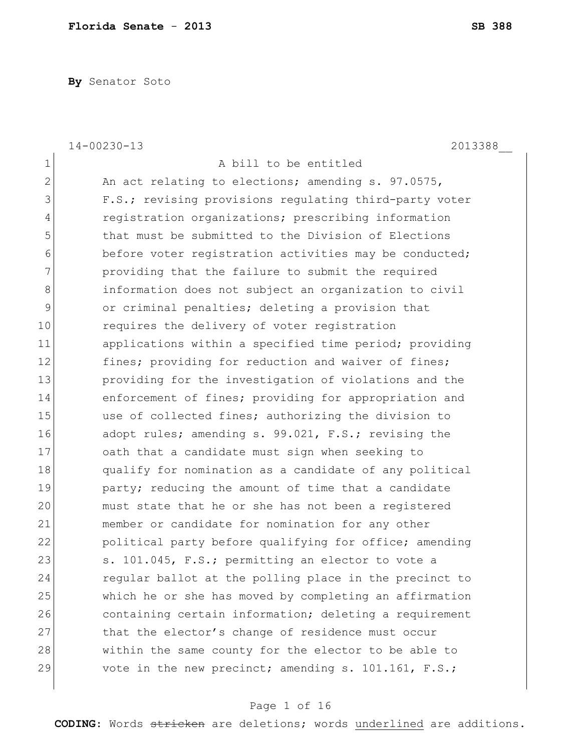**By** Senator Soto

|              | $14 - 00230 - 13$<br>2013388                           |
|--------------|--------------------------------------------------------|
| 1            | A bill to be entitled                                  |
| $\mathbf{2}$ | An act relating to elections; amending s. 97.0575,     |
| 3            | F.S.; revising provisions regulating third-party voter |
| 4            | registration organizations; prescribing information    |
| 5            | that must be submitted to the Division of Elections    |
| 6            | before voter registration activities may be conducted; |
| 7            | providing that the failure to submit the required      |
| 8            | information does not subject an organization to civil  |
| 9            | or criminal penalties; deleting a provision that       |
| 10           | requires the delivery of voter registration            |
| 11           | applications within a specified time period; providing |
| 12           | fines; providing for reduction and waiver of fines;    |
| 13           | providing for the investigation of violations and the  |
| 14           | enforcement of fines; providing for appropriation and  |
| 15           | use of collected fines; authorizing the division to    |
| 16           | adopt rules; amending s. 99.021, F.S.; revising the    |
| 17           | oath that a candidate must sign when seeking to        |
| 18           | qualify for nomination as a candidate of any political |
| 19           | party; reducing the amount of time that a candidate    |
| 20           | must state that he or she has not been a registered    |
| 21           | member or candidate for nomination for any other       |
| 22           | political party before qualifying for office; amending |
| 23           | s. 101.045, F.S.; permitting an elector to vote a      |
| 24           | regular ballot at the polling place in the precinct to |
| 25           | which he or she has moved by completing an affirmation |
| 26           | containing certain information; deleting a requirement |
| 27           | that the elector's change of residence must occur      |
| 28           | within the same county for the elector to be able to   |
| 29           | vote in the new precinct; amending s. 101.161, F.S.;   |

# Page 1 of 16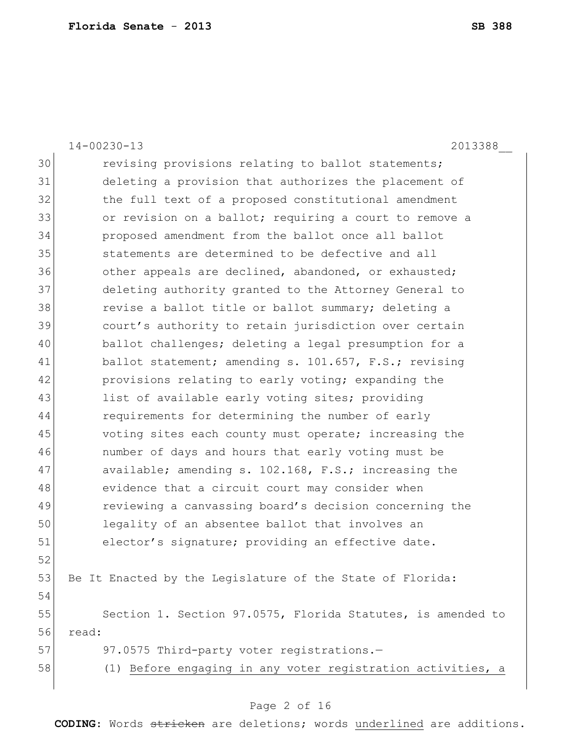14-00230-13 2013388\_\_ 30 revising provisions relating to ballot statements; 31 deleting a provision that authorizes the placement of 32 the full text of a proposed constitutional amendment 33 or revision on a ballot; requiring a court to remove a 34 proposed amendment from the ballot once all ballot 35 statements are determined to be defective and all 36 other appeals are declined, abandoned, or exhausted; 37 deleting authority granted to the Attorney General to 38 revise a ballot title or ballot summary; deleting a 39 court's authority to retain jurisdiction over certain 40 ballot challenges; deleting a legal presumption for a 41 ballot statement; amending s. 101.657, F.S.; revising 42 **provisions relating to early voting; expanding the** 43 list of available early voting sites; providing 44 requirements for determining the number of early 45 voting sites each county must operate; increasing the 46 number of days and hours that early voting must be 47 available; amending s. 102.168, F.S.; increasing the 48 evidence that a circuit court may consider when 49 reviewing a canvassing board's decision concerning the 50 legality of an absentee ballot that involves an 51 elector's signature; providing an effective date. 52 53 Be It Enacted by the Legislature of the State of Florida: 54 55 Section 1. Section 97.0575, Florida Statutes, is amended to 56 read: 57 97.0575 Third-party voter registrations.-58 (1) Before engaging in any voter registration activities, a

### Page 2 of 16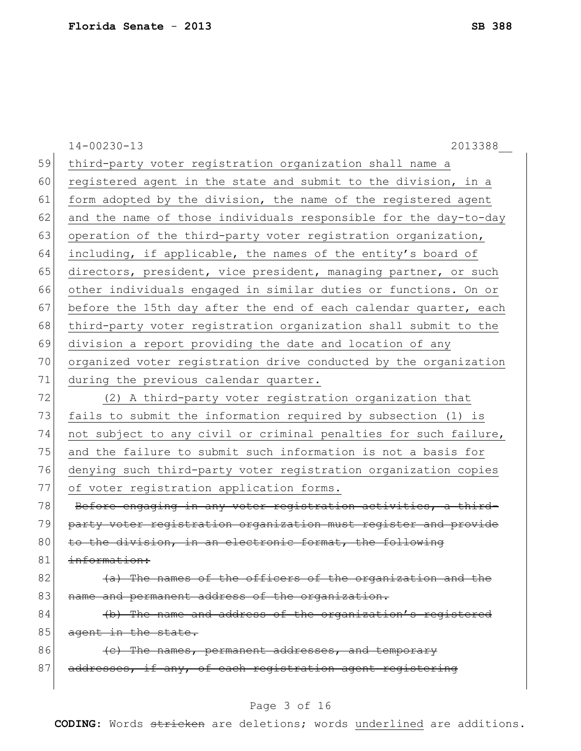|    | $14 - 00230 - 13$<br>2013388                                     |
|----|------------------------------------------------------------------|
| 59 | third-party voter registration organization shall name a         |
| 60 | registered agent in the state and submit to the division, in a   |
| 61 | form adopted by the division, the name of the registered agent   |
| 62 | and the name of those individuals responsible for the day-to-day |
| 63 | operation of the third-party voter registration organization,    |
| 64 | including, if applicable, the names of the entity's board of     |
| 65 | directors, president, vice president, managing partner, or such  |
| 66 | other individuals engaged in similar duties or functions. On or  |
| 67 | before the 15th day after the end of each calendar quarter, each |
| 68 | third-party voter registration organization shall submit to the  |
| 69 | division a report providing the date and location of any         |
| 70 | organized voter registration drive conducted by the organization |
| 71 | during the previous calendar quarter.                            |
| 72 | (2) A third-party voter registration organization that           |
| 73 | fails to submit the information required by subsection (1) is    |
| 74 | not subject to any civil or criminal penalties for such failure, |
| 75 | and the failure to submit such information is not a basis for    |
| 76 | denying such third-party voter registration organization copies  |
| 77 | of voter registration application forms.                         |
| 78 | Before engaging in any voter registration activities, a third-   |
| 79 | party voter registration organization must register and provide  |
| 80 | to the division, in an electronic format, the following          |
| 81 | information:                                                     |
| 82 | (a) The names of the officers of the organization and the        |
| 83 | name and permanent address of the organization.                  |
| 84 | (b) The name and address of the organization's registered        |
| 85 | agent in the state.                                              |
| 86 | (c) The names, permanent addresses, and temporary                |
| 87 | addresses, if any, of each registration agent registering        |
|    |                                                                  |

# Page 3 of 16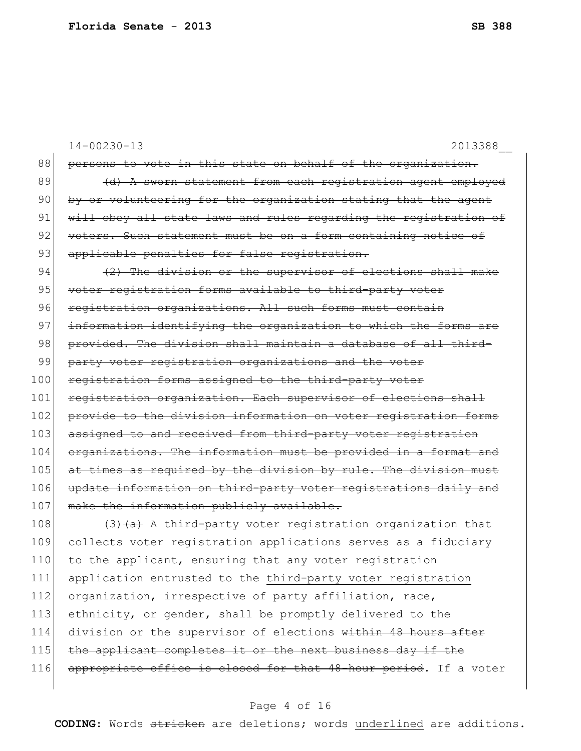|     | $14 - 00230 - 13$<br>2013388                                     |
|-----|------------------------------------------------------------------|
| 88  | persons to vote in this state on behalf of the organization.     |
| 89  | (d) A sworn statement from each registration agent employed      |
| 90  | by or volunteering for the organization stating that the agent   |
| 91  | will obey all state laws and rules regarding the registration of |
| 92  | voters. Such statement must be on a form containing notice of    |
| 93  | applicable penalties for false registration.                     |
| 94  | (2) The division or the supervisor of elections shall make       |
| 95  | voter registration forms available to third-party voter          |
| 96  | registration organizations. All such forms must contain          |
| 97  | information identifying the organization to which the forms are  |
| 98  | provided. The division shall maintain a database of all third-   |
| 99  | party voter registration organizations and the voter             |
| 100 | registration forms assigned to the third-party voter             |
| 101 | registration organization. Each supervisor of elections shall    |
| 102 | provide to the division information on voter registration forms  |
| 103 | assigned to and received from third-party voter registration     |
| 104 | organizations. The information must be provided in a format and  |
| 105 | at times as required by the division by rule. The division must  |
| 106 | update information on third-party voter registrations daily and  |
| 107 | make the information publicly available.                         |
| 108 | $(3)$ $(a)$ A third-party voter registration organization that   |
| 109 | collects voter registration applications serves as a fiduciary   |
| 110 | to the applicant, ensuring that any voter registration           |
| 111 | application entrusted to the third-party voter registration      |
| 112 | organization, irrespective of party affiliation, race,           |
| 113 | ethnicity, or gender, shall be promptly delivered to the         |
| 114 | division or the supervisor of elections within 48 hours after    |

- 115 the applicant completes it or the next business day if the
- 116 appropriate office is closed for that 48-hour period. If a voter

### Page 4 of 16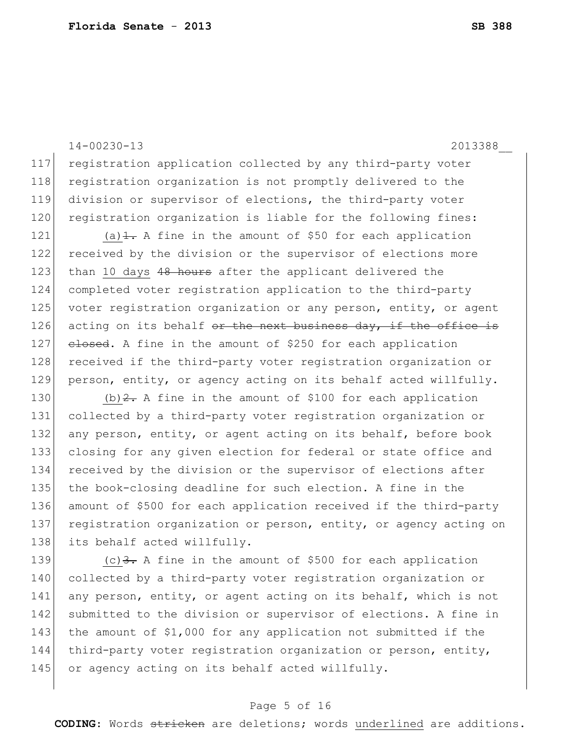14-00230-13 2013388\_\_ 117 registration application collected by any third-party voter 118 registration organization is not promptly delivered to the 119 division or supervisor of elections, the third-party voter 120 registration organization is liable for the following fines:

121 (a) $\pm$ . A fine in the amount of \$50 for each application 122 received by the division or the supervisor of elections more 123 than 10 days 48 hours after the applicant delivered the 124 completed voter registration application to the third-party 125 voter registration organization or any person, entity, or agent 126 acting on its behalf  $e^{i\theta}$  the next business day, if the office is 127 closed. A fine in the amount of \$250 for each application 128 received if the third-party voter registration organization or 129 person, entity, or agency acting on its behalf acted willfully.

130 (b)  $2 - A$  fine in the amount of \$100 for each application 131 collected by a third-party voter registration organization or 132 any person, entity, or agent acting on its behalf, before book 133 closing for any given election for federal or state office and 134 received by the division or the supervisor of elections after 135 the book-closing deadline for such election. A fine in the 136 amount of \$500 for each application received if the third-party 137 registration organization or person, entity, or agency acting on 138 its behalf acted willfully.

139  $(c)$  3. A fine in the amount of \$500 for each application 140 collected by a third-party voter registration organization or 141 any person, entity, or agent acting on its behalf, which is not 142 submitted to the division or supervisor of elections. A fine in 143 the amount of \$1,000 for any application not submitted if the 144 third-party voter registration organization or person, entity, 145 or agency acting on its behalf acted willfully.

#### Page 5 of 16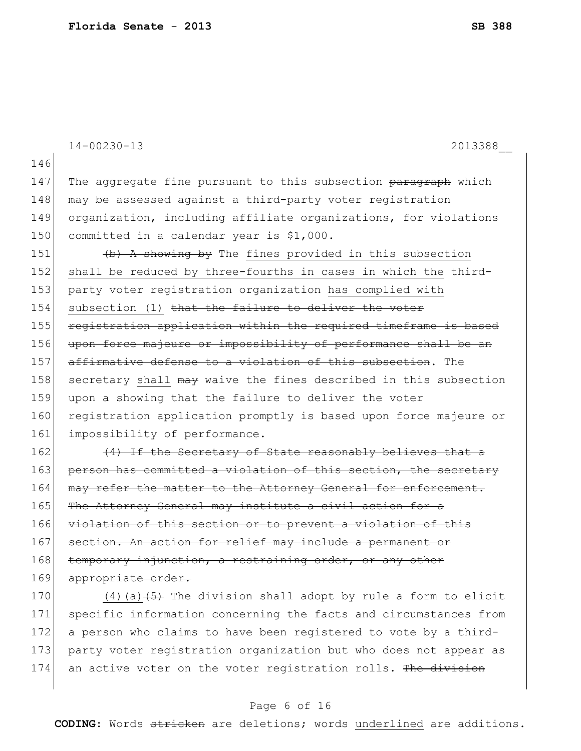|     | $14 - 00230 - 13$<br>2013388                                     |
|-----|------------------------------------------------------------------|
| 146 |                                                                  |
| 147 | The aggregate fine pursuant to this subsection paragraph which   |
| 148 | may be assessed against a third-party voter registration         |
| 149 | organization, including affiliate organizations, for violations  |
| 150 | committed in a calendar year is \$1,000.                         |
| 151 | (b) A showing by The fines provided in this subsection           |
| 152 | shall be reduced by three-fourths in cases in which the third-   |
| 153 | party voter registration organization has complied with          |
| 154 | subsection (1) that the failure to deliver the voter             |
| 155 | registration application within the required timeframe is based  |
| 156 | upon force majeure or impossibility of performance shall be an   |
| 157 | affirmative defense to a violation of this subsection. The       |
| 158 | secretary shall may waive the fines described in this subsection |
| 159 | upon a showing that the failure to deliver the voter             |
| 160 | registration application promptly is based upon force majeure or |
| 161 | impossibility of performance.                                    |
| 162 | (4) If the Secretary of State reasonably believes that a         |
| 163 | person has committed a violation of this section, the secretary  |
| 164 | may refer the matter to the Attorney General for enforcement.    |
| 165 | The Attorney General may institute a civil action for a          |
| 166 | violation of this section or to prevent a violation of this      |
| 167 | section. An action for relief may include a permanent or         |

168 temporary injunction, a restraining order, or any other 169 appropriate order.

170  $(4)$  (a)  $\left(5\right)$  The division shall adopt by rule a form to elicit 171 specific information concerning the facts and circumstances from 172 a person who claims to have been registered to vote by a third-173 party voter registration organization but who does not appear as 174 an active voter on the voter registration rolls. The division

### Page 6 of 16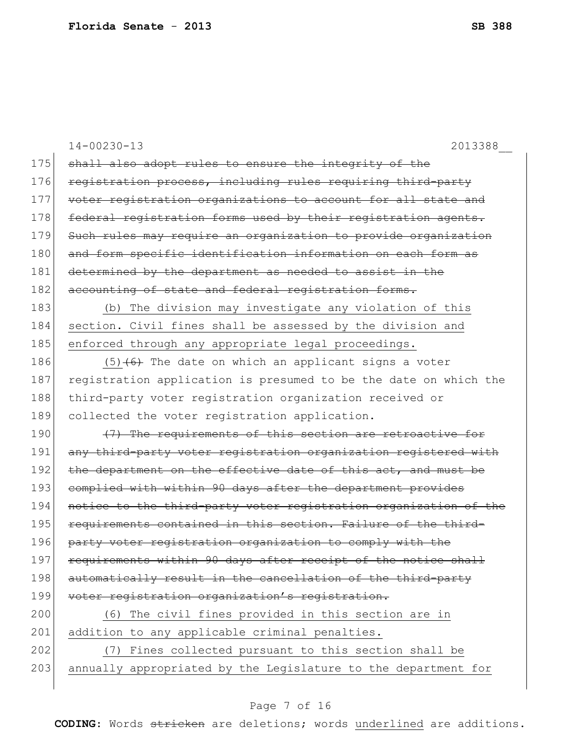|     | $14 - 00230 - 13$<br>2013388                                     |
|-----|------------------------------------------------------------------|
| 175 | shall also adopt rules to ensure the integrity of the            |
| 176 | registration process, including rules requiring third-party      |
| 177 | voter registration organizations to account for all state and    |
| 178 | federal registration forms used by their registration agents.    |
| 179 | Such rules may require an organization to provide organization   |
| 180 | and form specific identification information on each form as     |
| 181 | determined by the department as needed to assist in the          |
| 182 | accounting of state and federal registration forms.              |
| 183 | (b) The division may investigate any violation of this           |
| 184 | section. Civil fines shall be assessed by the division and       |
| 185 | enforced through any appropriate legal proceedings.              |
| 186 | $(5)$ $(6)$ The date on which an applicant signs a voter         |
| 187 | registration application is presumed to be the date on which the |
| 188 | third-party voter registration organization received or          |
| 189 | collected the voter registration application.                    |
| 190 | (7) The requirements of this section are retroactive for         |
| 191 | any third-party voter registration organization registered with  |
| 192 | the department on the effective date of this act, and must be    |
| 193 | complied with within 90 days after the department provides       |
| 194 | notice to the third-party voter registration organization of the |
| 195 | requirements contained in this section. Failure of the third-    |
| 196 | party voter registration organization to comply with the         |
| 197 | requirements within 90 days after receipt of the notice shall    |
| 198 | automatically result in the cancellation of the third-party      |
| 199 | voter registration organization's registration.                  |
| 200 | (6) The civil fines provided in this section are in              |
| 201 | addition to any applicable criminal penalties.                   |
| 202 | (7) Fines collected pursuant to this section shall be            |
| 203 | annually appropriated by the Legislature to the department for   |
|     |                                                                  |

# Page 7 of 16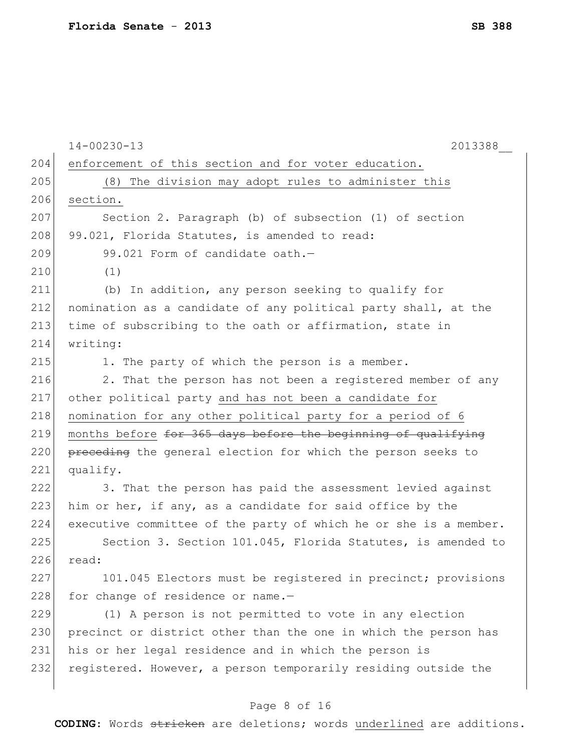|     | $14 - 00230 - 13$<br>2013388                                     |
|-----|------------------------------------------------------------------|
| 204 | enforcement of this section and for voter education.             |
| 205 | (8) The division may adopt rules to administer this              |
| 206 | section.                                                         |
| 207 | Section 2. Paragraph (b) of subsection (1) of section            |
| 208 | 99.021, Florida Statutes, is amended to read:                    |
| 209 | 99.021 Form of candidate oath.-                                  |
| 210 | (1)                                                              |
| 211 | (b) In addition, any person seeking to qualify for               |
| 212 | nomination as a candidate of any political party shall, at the   |
| 213 | time of subscribing to the oath or affirmation, state in         |
| 214 | writing:                                                         |
| 215 | 1. The party of which the person is a member.                    |
| 216 | 2. That the person has not been a registered member of any       |
| 217 | other political party and has not been a candidate for           |
| 218 | nomination for any other political party for a period of 6       |
| 219 | months before for 365 days before the beginning of qualifying    |
| 220 | preceding the general election for which the person seeks to     |
| 221 | qualify.                                                         |
| 222 | 3. That the person has paid the assessment levied against        |
| 223 | him or her, if any, as a candidate for said office by the        |
| 224 | executive committee of the party of which he or she is a member. |
| 225 | Section 3. Section 101.045, Florida Statutes, is amended to      |
| 226 | read:                                                            |
| 227 | 101.045 Electors must be registered in precinct; provisions      |
| 228 | for change of residence or name.-                                |
| 229 | (1) A person is not permitted to vote in any election            |
| 230 | precinct or district other than the one in which the person has  |
| 231 | his or her legal residence and in which the person is            |
| 232 | registered. However, a person temporarily residing outside the   |
|     |                                                                  |

# Page 8 of 16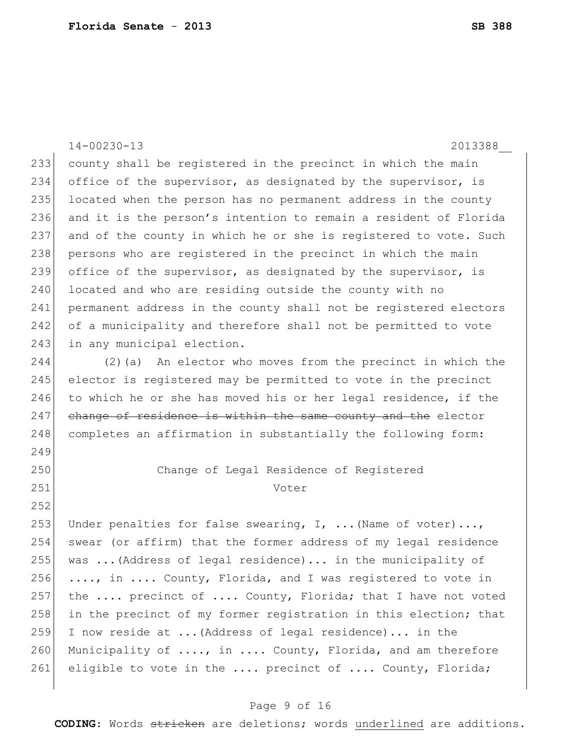14-00230-13 2013388\_\_ 233 county shall be registered in the precinct in which the main 234 office of the supervisor, as designated by the supervisor, is 235 located when the person has no permanent address in the county 236 and it is the person's intention to remain a resident of Florida 237 and of the county in which he or she is registered to vote. Such 238 persons who are registered in the precinct in which the main 239 office of the supervisor, as designated by the supervisor, is 240 located and who are residing outside the county with no 241 permanent address in the county shall not be registered electors 242 of a municipality and therefore shall not be permitted to vote 243 in any municipal election. 244 (2)(a) An elector who moves from the precinct in which the 245 elector is registered may be permitted to vote in the precinct 246 to which he or she has moved his or her legal residence, if the 247 change of residence is within the same county and the elector 248 completes an affirmation in substantially the following form: 249 250 Change of Legal Residence of Registered 251 Voter 252 253 Under penalties for false swearing,  $I$ , ... (Name of voter)..., 254 swear (or affirm) that the former address of my legal residence 255 was  $\ldots$  (Address of legal residence)... in the municipality of 256  $\ldots$ , in  $\ldots$  County, Florida, and I was registered to vote in 257 the  $\ldots$  precinct of  $\ldots$ . County, Florida; that I have not voted 258 in the precinct of my former registration in this election; that 259 I now reside at ...(Address of legal residence)... in the 260 Municipality of  $\dots$ , in  $\dots$  County, Florida, and am therefore 261 eligible to vote in the .... precinct of .... County, Florida;

#### Page 9 of 16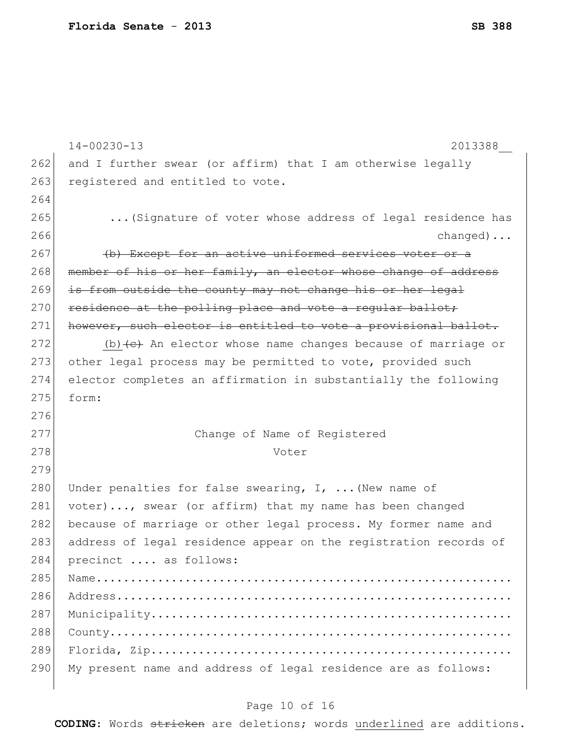|     | $14 - 00230 - 13$<br>2013388                                                       |
|-----|------------------------------------------------------------------------------------|
| 262 | and I further swear (or affirm) that I am otherwise legally                        |
| 263 | registered and entitled to vote.                                                   |
| 264 |                                                                                    |
| 265 | (Signature of voter whose address of legal residence has                           |
| 266 | $changed) \ldots$                                                                  |
| 267 | (b) Except for an active uniformed services voter or a                             |
| 268 | member of his or her family, an elector whose change of address                    |
| 269 | is from outside the county may not change his or her legal                         |
| 270 | residence at the polling place and vote a regular ballot;                          |
| 271 | however, such elector is entitled to vote a provisional ballot.                    |
| 272 | (b) $\left\{\epsilon\right\}$ An elector whose name changes because of marriage or |
| 273 | other legal process may be permitted to vote, provided such                        |
| 274 | elector completes an affirmation in substantially the following                    |
| 275 | form:                                                                              |
| 276 |                                                                                    |
| 277 | Change of Name of Registered                                                       |
| 278 | Voter                                                                              |
| 279 |                                                                                    |
| 280 | Under penalties for false swearing, $I$ ,  (New name of                            |
| 281 | voter), swear (or affirm) that my name has been changed                            |
| 282 | because of marriage or other legal process. My former name and                     |
| 283 | address of legal residence appear on the registration records of                   |
| 284 | precinct  as follows:                                                              |
| 285 |                                                                                    |
| 286 |                                                                                    |
| 287 |                                                                                    |
| 288 |                                                                                    |
| 289 |                                                                                    |
| 290 | My present name and address of legal residence are as follows:                     |
|     |                                                                                    |

# Page 10 of 16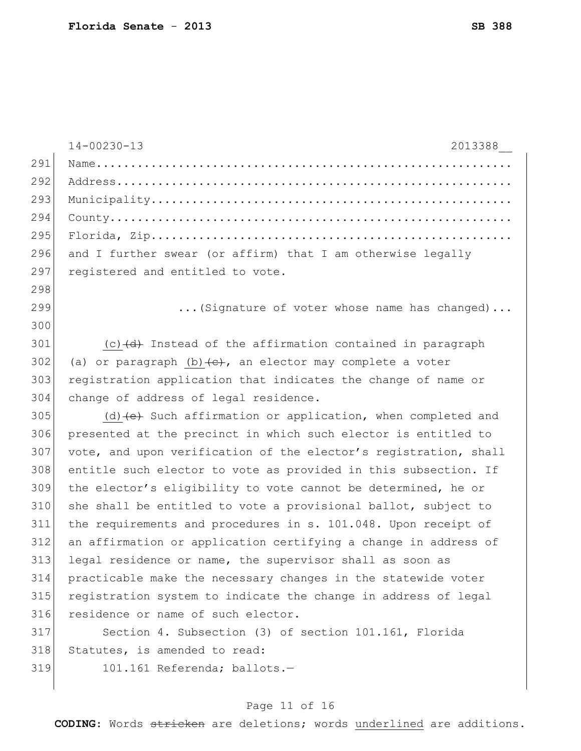|     | $14 - 00230 - 13$<br>2013388                                          |
|-----|-----------------------------------------------------------------------|
| 291 |                                                                       |
| 292 |                                                                       |
| 293 |                                                                       |
| 294 |                                                                       |
| 295 |                                                                       |
| 296 | and I further swear (or affirm) that I am otherwise legally           |
| 297 | registered and entitled to vote.                                      |
| 298 |                                                                       |
| 299 | (Signature of voter whose name has changed)                           |
| 300 |                                                                       |
| 301 | (c) (d) Instead of the affirmation contained in paragraph             |
| 302 | (a) or paragraph $(b)$ $\leftarrow$ , an elector may complete a voter |
| 303 | registration application that indicates the change of name or         |
| 304 | change of address of legal residence.                                 |
| 305 | $(d)$ (d) $(e)$ Such affirmation or application, when completed and   |
| 306 | presented at the precinct in which such elector is entitled to        |
| 307 | vote, and upon verification of the elector's registration, shall      |
| 308 | entitle such elector to vote as provided in this subsection. If       |
| 309 | the elector's eligibility to vote cannot be determined, he or         |
| 310 | she shall be entitled to vote a provisional ballot, subject to        |
| 311 | the requirements and procedures in s. 101.048. Upon receipt of        |
| 312 | an affirmation or application certifying a change in address of       |
| 313 | legal residence or name, the supervisor shall as soon as              |
| 314 | practicable make the necessary changes in the statewide voter         |
| 315 | registration system to indicate the change in address of legal        |
| 316 | residence or name of such elector.                                    |
| 317 | Section 4. Subsection (3) of section 101.161, Florida                 |
| 318 | Statutes, is amended to read:                                         |
| 319 | 101.161 Referenda; ballots.-                                          |
|     |                                                                       |

# Page 11 of 16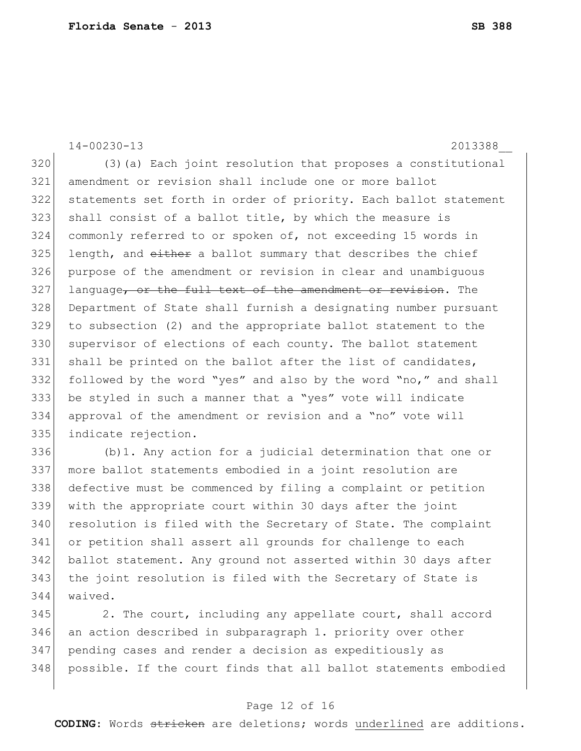14-00230-13 2013388\_\_

 (3)(a) Each joint resolution that proposes a constitutional amendment or revision shall include one or more ballot statements set forth in order of priority. Each ballot statement shall consist of a ballot title, by which the measure is commonly referred to or spoken of, not exceeding 15 words in length, and  $e$ ither a ballot summary that describes the chief purpose of the amendment or revision in clear and unambiguous language, or the full text of the amendment or revision. The Department of State shall furnish a designating number pursuant to subsection (2) and the appropriate ballot statement to the 330 supervisor of elections of each county. The ballot statement 331 shall be printed on the ballot after the list of candidates, 332 followed by the word "yes" and also by the word "no," and shall be styled in such a manner that a "yes" vote will indicate approval of the amendment or revision and a "no" vote will indicate rejection.

 (b)1. Any action for a judicial determination that one or more ballot statements embodied in a joint resolution are defective must be commenced by filing a complaint or petition with the appropriate court within 30 days after the joint 340 resolution is filed with the Secretary of State. The complaint or petition shall assert all grounds for challenge to each ballot statement. Any ground not asserted within 30 days after 343 the joint resolution is filed with the Secretary of State is waived.

 2. The court, including any appellate court, shall accord an action described in subparagraph 1. priority over other pending cases and render a decision as expeditiously as possible. If the court finds that all ballot statements embodied

### Page 12 of 16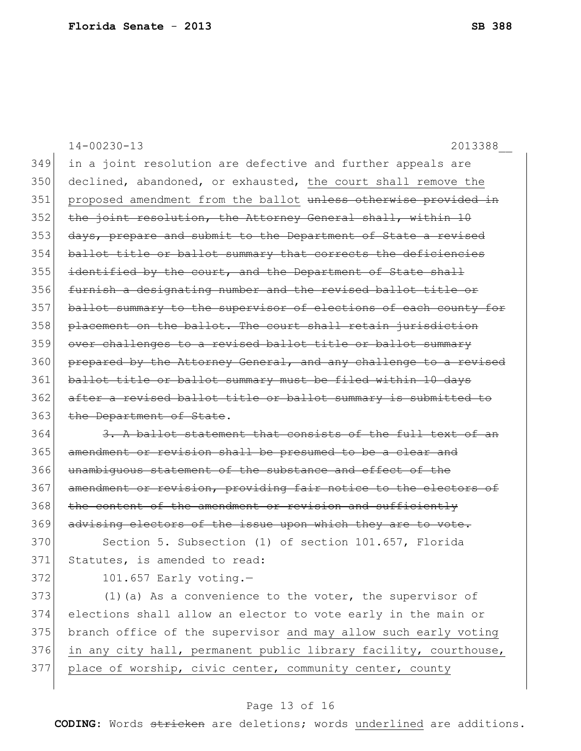14-00230-13 2013388\_\_ 349 in a joint resolution are defective and further appeals are 350 declined, abandoned, or exhausted, the court shall remove the 351 proposed amendment from the ballot unless otherwise provided in 352 the joint resolution, the Attorney General shall, within 10 353 days, prepare and submit to the Department of State a revised 354 ballot title or ballot summary that corrects the deficiencies  $355$  identified by the court, and the Department of State shall 356 furnish a designating number and the revised ballot title or 357 ballot summary to the supervisor of elections of each county for 358 placement on the ballot. The court shall retain jurisdiction 359 over challenges to a revised ballot title or ballot summary 360 prepared by the Attorney General, and any challenge to a revised 361 ballot title or ballot summary must be filed within 10 days 362 after a revised ballot title or ballot summary is submitted to 363 the Department of State. 364 3. A ballot statement that consists of the full text of an 365 amendment or revision shall be presumed to be a clear and 366 unambiguous statement of the substance and effect of the 367 amendment or revision, providing fair notice to the electors of 368 the content of the amendment or revision and sufficiently 369 advising electors of the issue upon which they are to vote. 370 Section 5. Subsection (1) of section 101.657, Florida 371 Statutes, is amended to read: 372 101.657 Early voting.-373 (1)(a) As a convenience to the voter, the supervisor of 374 elections shall allow an elector to vote early in the main or 375 branch office of the supervisor and may allow such early voting 376 in any city hall, permanent public library facility, courthouse, 377 place of worship, civic center, community center, county

#### Page 13 of 16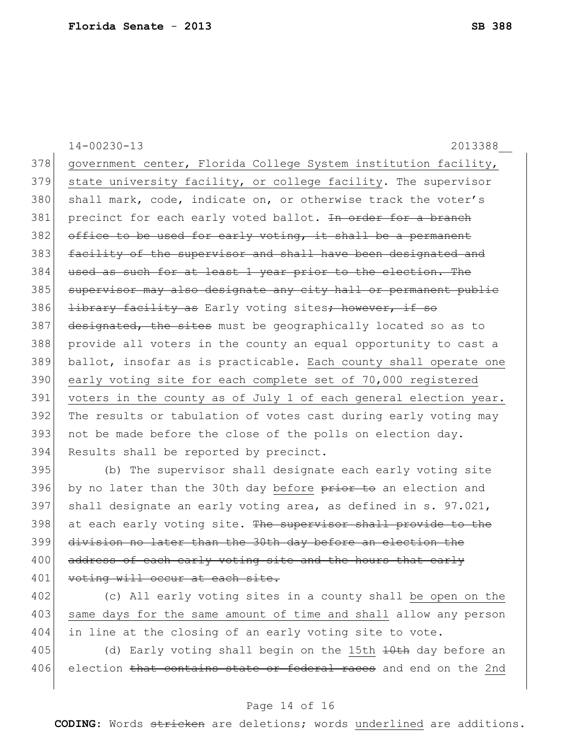|     | $14 - 00230 - 13$<br>2013388                                              |
|-----|---------------------------------------------------------------------------|
| 378 | government center, Florida College System institution facility,           |
| 379 | state university facility, or college facility. The supervisor            |
| 380 | shall mark, code, indicate on, or otherwise track the voter's             |
| 381 | precinct for each early voted ballot. In order for a branch               |
| 382 | office to be used for early voting, it shall be a permanent               |
| 383 | facility of the supervisor and shall have been designated and             |
| 384 | used as such for at least 1 year prior to the election. The               |
| 385 | supervisor may also designate any city hall or permanent public           |
| 386 | <i>library facility as</i> Early voting sites <del>; however, if so</del> |
| 387 | designated, the sites must be geographically located so as to             |
| 388 | provide all voters in the county an equal opportunity to cast a           |
| 389 | ballot, insofar as is practicable. Each county shall operate one          |
| 390 | early voting site for each complete set of 70,000 registered              |
| 391 | voters in the county as of July 1 of each general election year.          |
| 392 | The results or tabulation of votes cast during early voting may           |
| 393 | not be made before the close of the polls on election day.                |
| 394 | Results shall be reported by precinct.                                    |
| 395 | (b) The supervisor shall designate each early voting site                 |
| 396 | by no later than the 30th day before prior to an election and             |
| 207 | $\alpha$ ball designate an early usting area as defined in a 07.001       |

 shall designate an early voting area, as defined in s. 97.021, 398 at each early voting site. The supervisor shall provide to the division no later than the 30th day before an election the 400 address of each early voting site and the hours that early 401 voting will occur at each site.

402 (c) All early voting sites in a county shall be open on the 403 same days for the same amount of time and shall allow any person 404 in line at the closing of an early voting site to vote.

405 (d) Early voting shall begin on the 15th  $\frac{10}{10}$  day before an 406 election that contains state or federal races and end on the 2nd

### Page 14 of 16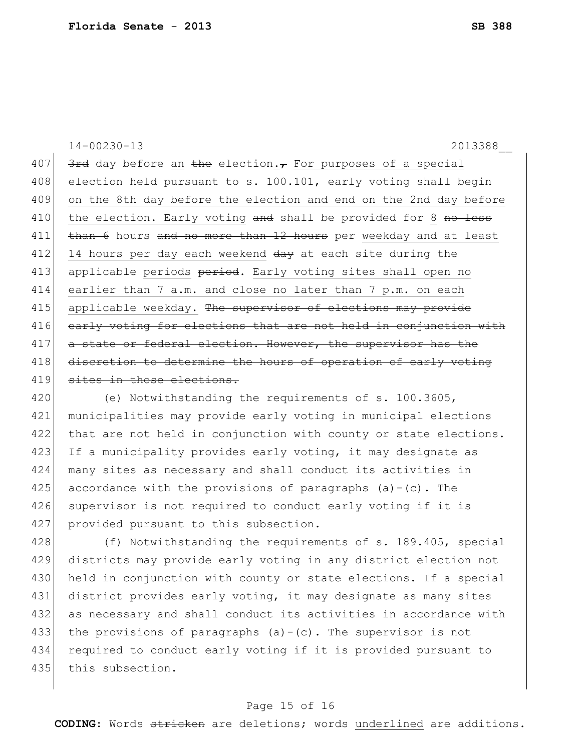14-00230-13 2013388\_\_ 407  $\frac{3 \text{ red}}{2 \text{ red}}$  day before an the election. For purposes of a special 408 election held pursuant to s. 100.101, early voting shall begin 409 on the 8th day before the election and end on the 2nd day before 410 the election. Early voting and shall be provided for 8 no less 411 than 6 hours and no more than 12 hours per weekday and at least 412 14 hours per day each weekend  $\frac{day}{dx}$  at each site during the 413 applicable periods period. Early voting sites shall open no 414 earlier than 7 a.m. and close no later than 7 p.m. on each 415 applicable weekday. The supervisor of elections may provide 416 early voting for elections that are not held in conjunction with 417 a state or federal election. However, the supervisor has the 418 discretion to determine the hours of operation of early voting 419 sites in those elections.

420 (e) Notwithstanding the requirements of s. 100.3605, 421 municipalities may provide early voting in municipal elections 422 that are not held in conjunction with county or state elections. 423 If a municipality provides early voting, it may designate as 424 many sites as necessary and shall conduct its activities in 425 accordance with the provisions of paragraphs  $(a)-(c)$ . The 426 supervisor is not required to conduct early voting if it is 427 provided pursuant to this subsection.

428 (f) Notwithstanding the requirements of s. 189.405, special 429 districts may provide early voting in any district election not 430 held in conjunction with county or state elections. If a special 431 district provides early voting, it may designate as many sites 432 as necessary and shall conduct its activities in accordance with 433 the provisions of paragraphs  $(a)-(c)$ . The supervisor is not 434 required to conduct early voting if it is provided pursuant to 435 this subsection.

#### Page 15 of 16